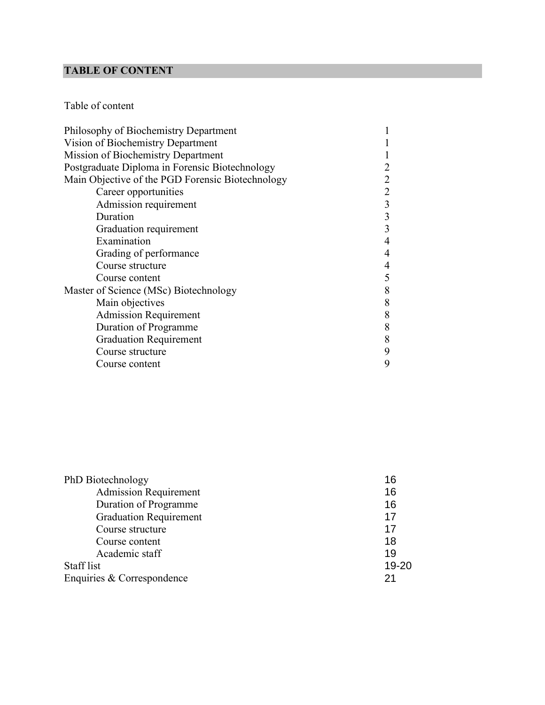# **TABLE OF CONTENT**

# Table of content

| Philosophy of Biochemistry Department            |   |
|--------------------------------------------------|---|
| Vision of Biochemistry Department                |   |
| Mission of Biochemistry Department               |   |
| Postgraduate Diploma in Forensic Biotechnology   |   |
| Main Objective of the PGD Forensic Biotechnology |   |
| Career opportunities                             |   |
| Admission requirement                            | 3 |
| Duration                                         | 3 |
| Graduation requirement                           | 3 |
| Examination                                      |   |
| Grading of performance                           |   |
| Course structure                                 |   |
| Course content                                   | 5 |
| Master of Science (MSc) Biotechnology            | 8 |
| Main objectives                                  | 8 |
| <b>Admission Requirement</b>                     | 8 |
| Duration of Programme                            | 8 |
| <b>Graduation Requirement</b>                    | 8 |
| Course structure                                 | 9 |
| Course content                                   | 9 |

| PhD Biotechnology             | 16    |
|-------------------------------|-------|
| <b>Admission Requirement</b>  | 16    |
| Duration of Programme         | 16    |
| <b>Graduation Requirement</b> | 17    |
| Course structure              | 17    |
| Course content                | 18    |
| Academic staff                | 19    |
| Staff list                    | 19-20 |
| Enquiries & Correspondence    | 21    |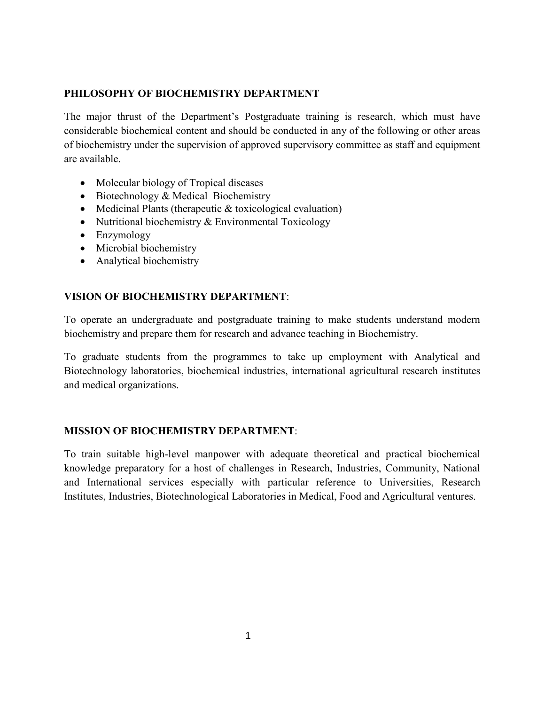## **PHILOSOPHY OF BIOCHEMISTRY DEPARTMENT**

The major thrust of the Department's Postgraduate training is research, which must have considerable biochemical content and should be conducted in any of the following or other areas of biochemistry under the supervision of approved supervisory committee as staff and equipment are available.

- Molecular biology of Tropical diseases
- $\bullet$  Biotechnology & Medical Biochemistry
- Medicinal Plants (therapeutic  $&$  toxicological evaluation)
- Nutritional biochemistry  $& Environmental Toxicology$
- Enzymology
- Microbial biochemistry
- Analytical biochemistry

## **VISION OF BIOCHEMISTRY DEPARTMENT**:

To operate an undergraduate and postgraduate training to make students understand modern biochemistry and prepare them for research and advance teaching in Biochemistry.

To graduate students from the programmes to take up employment with Analytical and Biotechnology laboratories, biochemical industries, international agricultural research institutes and medical organizations.

## **MISSION OF BIOCHEMISTRY DEPARTMENT**:

To train suitable high-level manpower with adequate theoretical and practical biochemical knowledge preparatory for a host of challenges in Research, Industries, Community, National and International services especially with particular reference to Universities, Research Institutes, Industries, Biotechnological Laboratories in Medical, Food and Agricultural ventures.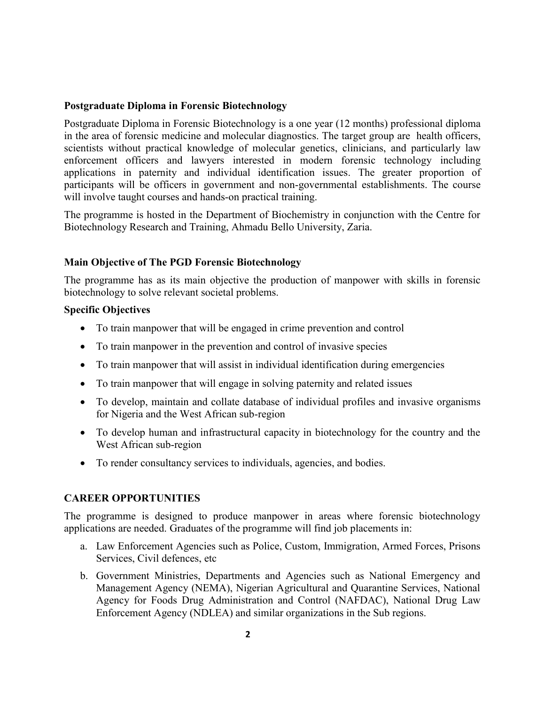## **Postgraduate Diploma in Forensic Biotechnology**

 in the area of forensic medicine and molecular diagnostics. The target group are health officers, will involve taught courses and hands-on practical training. participants will be officers in government and non-governmental establishments. The course applications in paternity and individual identification issues. The greater proportion of enforcement officers and lawyers interested in modern forensic technology including scientists without practical knowledge of molecular genetics, clinicians, and particularly law Postgraduate Diploma in Forensic Biotechnology is a one year (12 months) professional diploma

Biotechnology Research and Training, Ahmadu Bello University, Zaria. The programme is hosted in the Department of Biochemistry in conjunction with the Centre for

## **Main Objective of The PGD Forensic Biotechnology**

biotechnology to solve relevant societal problems. The programme has as its main objective the production of manpower with skills in forensic

## **Specific Objectives**

- To train manpower that will be engaged in crime prevention and control
- To train manpower in the prevention and control of invasive species
- To train manpower that will assist in individual identification during emergencies
- To train manpower that will engage in solving paternity and related issues
- for Nigeria and the West African sub-region • To develop, maintain and collate database of individual profiles and invasive organisms
- West African sub-region • To develop human and infrastructural capacity in biotechnology for the country and the
- To render consultancy services to individuals, agencies, and bodies.

## **CAREER OPPORTUNITIES**

applications are needed. Graduates of the programme will find job placements in: The programme is designed to produce manpower in areas where forensic biotechnology

- Services, Civil defences, etc a. Law Enforcement Agencies such as Police, Custom, Immigration, Armed Forces, Prisons
- Enforcement Agency (NDLEA) and similar organizations in the Sub regions. Agency for Foods Drug Administration and Control (NAFDAC), National Drug Law Management Agency (NEMA), Nigerian Agricultural and Quarantine Services, National b. Government Ministries, Departments and Agencies such as National Emergency and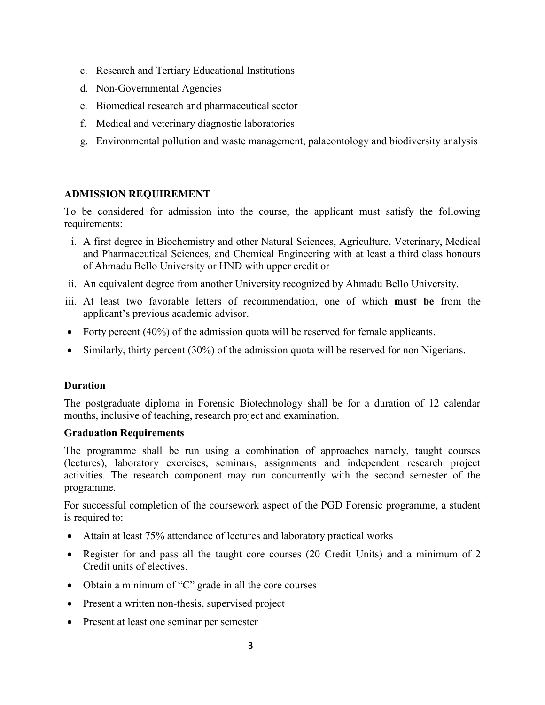- c. Research and Tertiary Educational Institutions
- d. Non-Governmental Agencies
- e. Biomedical research and pharmaceutical sector
- f. Medical and veterinary diagnostic laboratories
- g. Environmental pollution and waste management, palaeontology and biodiversity analysis

## **ADMISSION REQUIREMENT**

requirements: To be considered for admission into the course, the applicant must satisfy the following

- of Ahmadu Bello University or HND with upper credit or and Pharmaceutical Sciences, and Chemical Engineering with at least a third class honours i. A first degree in Biochemistry and other Natural Sciences, Agriculture, Veterinary, Medical
- ii. An equivalent degree from another University recognized by Ahmadu Bello University.
- applicant's previous academic advisor. iii. At least two favorable letters of recommendation, one of which **must be** from the
- Forty percent  $(40%)$  of the admission quota will be reserved for female applicants.
- $\bullet$  Similarly, thirty percent (30%) of the admission quota will be reserved for non Nigerians.

## **Duration**

months, inclusive of teaching, research project and examination. The postgraduate diploma in Forensic Biotechnology shall be for a duration of 12 calendar

## **Graduation Requirements**

programme. activities. The research component may run concurrently with the second semester of the (lectures), laboratory exercises, seminars, assignments and independent research project The programme shall be run using a combination of approaches namely, taught courses

is required to: For successful completion of the coursework aspect of the PGD Forensic programme, a student

- Attain at least 75% attendance of lectures and laboratory practical works
- Credit units of electives. • Register for and pass all the taught core courses (20 Credit Units) and a minimum of 2
- $\bullet$  Obtain a minimum of "C" grade in all the core courses
- Present a written non-thesis, supervised project
- Present at least one seminar per semester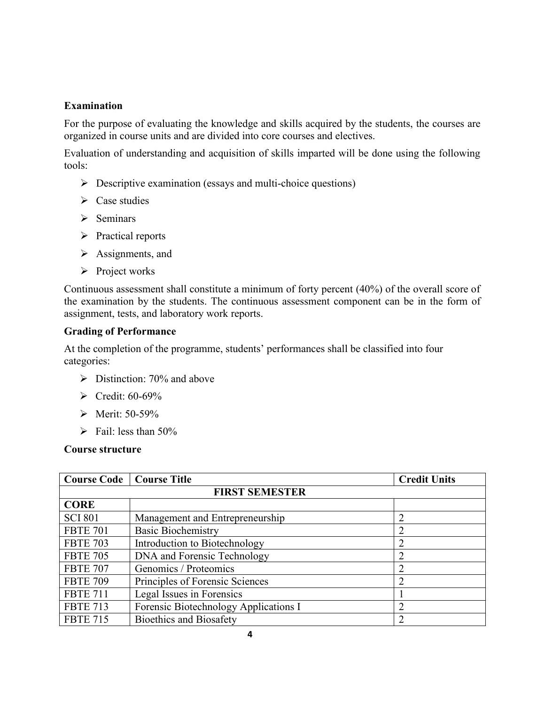## **Examination**

For the purpose of evaluating the knowledge and skills acquired by the students, the courses are organized in course units and are divided into core courses and electives.

Evaluation of understanding and acquisition of skills imparted will be done using the following tools:

- $\triangleright$  Descriptive examination (essays and multi-choice questions)
- $\triangleright$  Case studies
- $\triangleright$  Seminars
- ¾ Practical reports
- $\triangleright$  Assignments, and
- $\triangleright$  Project works

Continuous assessment shall constitute a minimum of forty percent (40%) of the overall score of the examination by the students. The continuous assessment component can be in the form of assignment, tests, and laboratory work reports.

## **Grading of Performance**

At the completion of the programme, students' performances shall be classified into four categories:

- $\triangleright$  Distinction: 70% and above
- $\blacktriangleright$  Credit: 60-69%
- $\triangleright$  Merit: 50-59%
- $\triangleright$  Fail: less than 50%

## **Course structure**

| <b>Course Code</b>   Course Title |                                       | <b>Credit Units</b> |
|-----------------------------------|---------------------------------------|---------------------|
| <b>FIRST SEMESTER</b>             |                                       |                     |
| <b>CORE</b>                       |                                       |                     |
| <b>SCI 801</b>                    | Management and Entrepreneurship       |                     |
| <b>FBTE 701</b>                   | <b>Basic Biochemistry</b>             |                     |
| <b>FBTE 703</b>                   | Introduction to Biotechnology         | ∍                   |
| <b>FBTE 705</b>                   | DNA and Forensic Technology           | ∍                   |
| <b>FBTE 707</b>                   | Genomics / Proteomics                 | ∍                   |
| <b>FBTE 709</b>                   | Principles of Forensic Sciences       |                     |
| <b>FBTE 711</b>                   | Legal Issues in Forensics             |                     |
| <b>FBTE 713</b>                   | Forensic Biotechnology Applications I |                     |
| <b>FBTE 715</b>                   | <b>Bioethics and Biosafety</b>        |                     |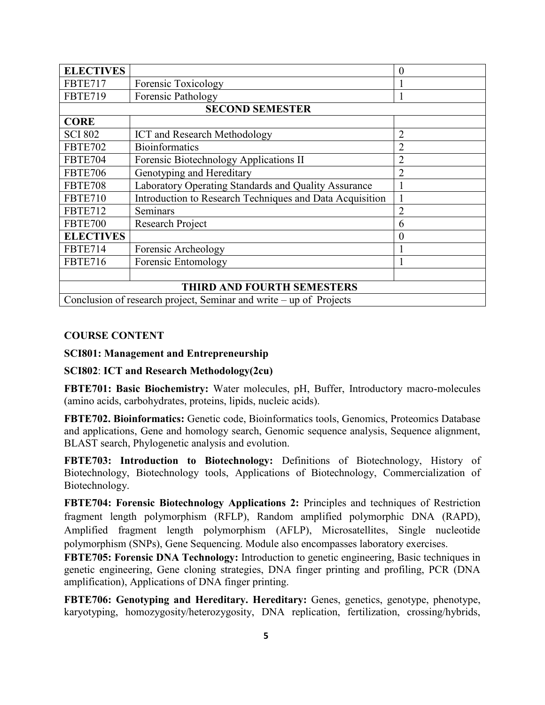| <b>ELECTIVES</b>                                                   |                                                          | $\theta$         |
|--------------------------------------------------------------------|----------------------------------------------------------|------------------|
| <b>FBTE717</b>                                                     | Forensic Toxicology                                      |                  |
| <b>FBTE719</b>                                                     | Forensic Pathology                                       |                  |
|                                                                    | <b>SECOND SEMESTER</b>                                   |                  |
| <b>CORE</b>                                                        |                                                          |                  |
| <b>SCI 802</b>                                                     | <b>ICT</b> and Research Methodology                      | $\overline{2}$   |
| <b>FBTE702</b>                                                     | <b>Bioinformatics</b>                                    | $\overline{2}$   |
| <b>FBTE704</b>                                                     | Forensic Biotechnology Applications II                   | $\overline{2}$   |
| <b>FBTE706</b>                                                     | Genotyping and Hereditary                                | $\overline{2}$   |
| <b>FBTE708</b>                                                     | Laboratory Operating Standards and Quality Assurance     | 1                |
| <b>FBTE710</b>                                                     | Introduction to Research Techniques and Data Acquisition |                  |
| <b>FBTE712</b>                                                     | Seminars                                                 | $\overline{2}$   |
| FBTE700                                                            | <b>Research Project</b>                                  | 6                |
| <b>ELECTIVES</b>                                                   |                                                          | $\boldsymbol{0}$ |
| <b>FBTE714</b>                                                     | Forensic Archeology                                      |                  |
| <b>FBTE716</b>                                                     | Forensic Entomology                                      |                  |
|                                                                    |                                                          |                  |
| <b>THIRD AND FOURTH SEMESTERS</b>                                  |                                                          |                  |
| Conclusion of research project, Seminar and write – up of Projects |                                                          |                  |

## **COURSE CONTENT**

**SCI801: Management and Entrepreneurship**

## **SCI802**: **ICT and Research Methodology(2cu)**

(amino acids, carbohydrates, proteins, lipids, nucleic acids). **FBTE701: Basic Biochemistry:** Water molecules, pH, Buffer, Introductory macro-molecules

BLAST search, Phylogenetic analysis and evolution. and applications, Gene and homology search, Genomic sequence analysis, Sequence alignment, **FBTE702. Bioinformatics:** Genetic code, Bioinformatics tools, Genomics, Proteomics Database

Biotechnology. Biotechnology, Biotechnology tools, Applications of Biotechnology, Commercialization of **FBTE703: Introduction to Biotechnology:** Definitions of Biotechnology, History of

polymorphism (SNPs), Gene Sequencing. Module also encompasses laboratory exercises. Amplified fragment length polymorphism (AFLP), Microsatellites, Single nucleotide fragment length polymorphism (RFLP), Random amplified polymorphic DNA (RAPD), **FBTE704: Forensic Biotechnology Applications 2:** Principles and techniques of Restriction

amplification), Applications of DNA finger printing. genetic engineering, Gene cloning strategies, DNA finger printing and profiling, PCR (DNA **FBTE705: Forensic DNA Technology:** Introduction to genetic engineering, Basic techniques in

karyotyping, homozygosity/heterozygosity, DNA replication, fertilization, crossing/hybrids, **FBTE706: Genotyping and Hereditary. Hereditary:** Genes, genetics, genotype, phenotype,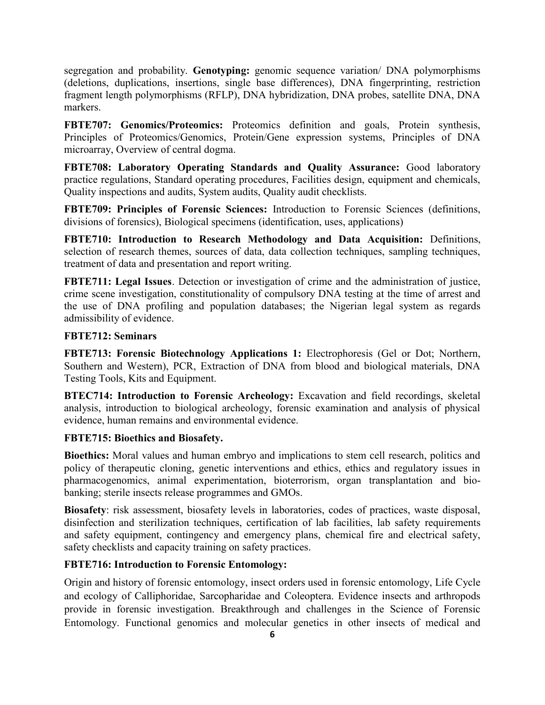markers. fragment length polymorphisms (RFLP), DNA hybridization, DNA probes, satellite DNA, DNA (deletions, duplications, insertions, single base differences), DNA fingerprinting, restriction segregation and probability. **Genotyping:** genomic sequence variation/ DNA polymorphisms

microarray, Overview of central dogma. Principles of Proteomics/Genomics, Protein/Gene expression systems, Principles of DNA **FBTE707: Genomics/Proteomics:** Proteomics definition and goals, Protein synthesis,

Quality inspections and audits, System audits, Quality audit checklists. practice regulations, Standard operating procedures, Facilities design, equipment and chemicals, **FBTE708: Laboratory Operating Standards and Quality Assurance:** Good laboratory

divisions of forensics), Biological specimens (identification, uses, applications) **FBTE709: Principles of Forensic Sciences:** Introduction to Forensic Sciences (definitions,

treatment of data and presentation and report writing. selection of research themes, sources of data, data collection techniques, sampling techniques, **FBTE710: Introduction to Research Methodology and Data Acquisition:** Definitions,

admissibility of evidence. the use of DNA profiling and population databases; the Nigerian legal system as regards crime scene investigation, constitutionality of compulsory DNA testing at the time of arrest and **FBTE711: Legal Issues**. Detection or investigation of crime and the administration of justice,

## **FBTE712: Seminars**

Testing Tools, Kits and Equipment. Southern and Western), PCR, Extraction of DNA from blood and biological materials, DNA **FBTE713: Forensic Biotechnology Applications 1:** Electrophoresis (Gel or Dot; Northern,

evidence, human remains and environmental evidence. analysis, introduction to biological archeology, forensic examination and analysis of physical **BTEC714: Introduction to Forensic Archeology:** Excavation and field recordings, skeletal

## **FBTE715: Bioethics and Biosafety.**

banking; sterile insects release programmes and GMOs. pharmacogenomics, animal experimentation, bioterrorism, organ transplantation and biopolicy of therapeutic cloning, genetic interventions and ethics, ethics and regulatory issues in **Bioethics:** Moral values and human embryo and implications to stem cell research, politics and

safety checklists and capacity training on safety practices. and safety equipment, contingency and emergency plans, chemical fire and electrical safety, disinfection and sterilization techniques, certification of lab facilities, lab safety requirements **Biosafety**: risk assessment, biosafety levels in laboratories, codes of practices, waste disposal,

## **FBTE716: Introduction to Forensic Entomology:**

Entomology. Functional genomics and molecular genetics in other insects of medical and provide in forensic investigation. Breakthrough and challenges in the Science of Forensic and ecology of Calliphoridae, Sarcopharidae and Coleoptera. Evidence insects and arthropods Origin and history of forensic entomology, insect orders used in forensic entomology, Life Cycle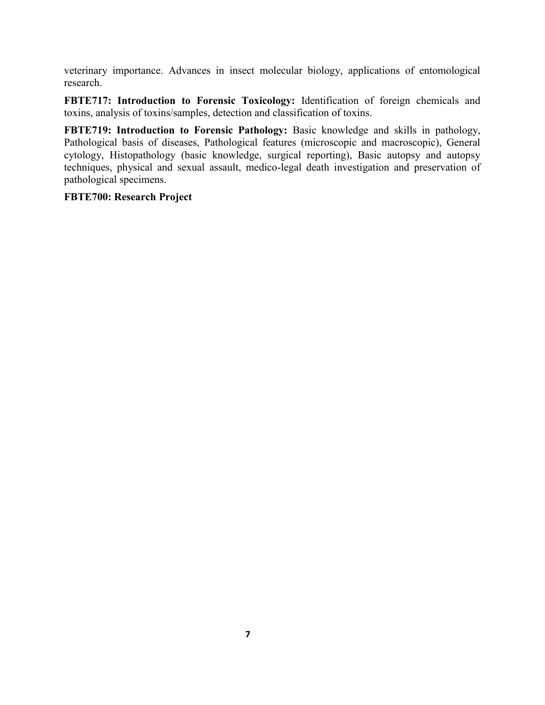veterinary importance. Advances in insect molecular biology, applications of entomological research.

**FBTE717: Introduction to Forensic Toxicology:** Identification of foreign chemicals and toxins, analysis of toxins/samples, detection and classification of toxins.

**FBTE719: Introduction to Forensic Pathology:** Basic knowledge and skills in pathology, Pathological basis of diseases, Pathological features (microscopic and macroscopic), General cytology, Histopathology (basic knowledge, surgical reporting), Basic autopsy and autopsy techniques, physical and sexual assault, medico-legal death investigation and preservation of pathological specimens.

## **FBTE700: Research Project**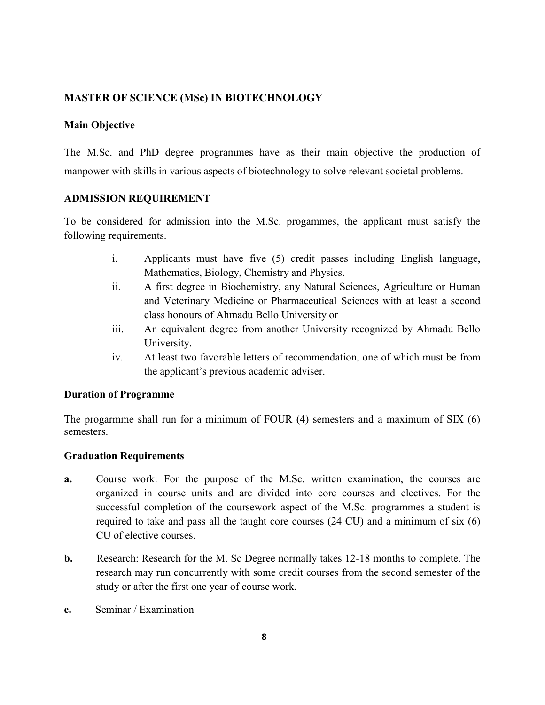## **MASTER OF SCIENCE (MSc) IN BIOTECHNOLOGY**

## **Main Objective**

The M.Sc. and PhD degree programmes have as their main objective the production of manpower with skills in various aspects of biotechnology to solve relevant societal problems.

## **ADMISSION REQUIREMENT**

To be considered for admission into the M.Sc. progammes, the applicant must satisfy the following requirements.

- i. Applicants must have five (5) credit passes including English language, Mathematics, Biology, Chemistry and Physics.
- ii. A first degree in Biochemistry, any Natural Sciences, Agriculture or Human and Veterinary Medicine or Pharmaceutical Sciences with at least a second class honours of Ahmadu Bello University or
- iii. An equivalent degree from another University recognized by Ahmadu Bello University.
- iv. At least two favorable letters of recommendation, one of which must be from the applicant's previous academic adviser.

## **Duration of Programme**

semesters. The progarmme shall run for a minimum of FOUR (4) semesters and a maximum of SIX (6)

## **Graduation Requirements**

- CU of elective courses. required to take and pass all the taught core courses (24 CU) and a minimum of six (6) successful completion of the coursework aspect of the M.Sc. programmes a student is organized in course units and are divided into core courses and electives. For the **a.** Course work: For the purpose of the M.Sc. written examination, the courses are
- study or after the first one year of course work. research may run concurrently with some credit courses from the second semester of the **b.** Research: Research for the M. Sc Degree normally takes 12-18 months to complete. The
- **c.** Seminar / Examination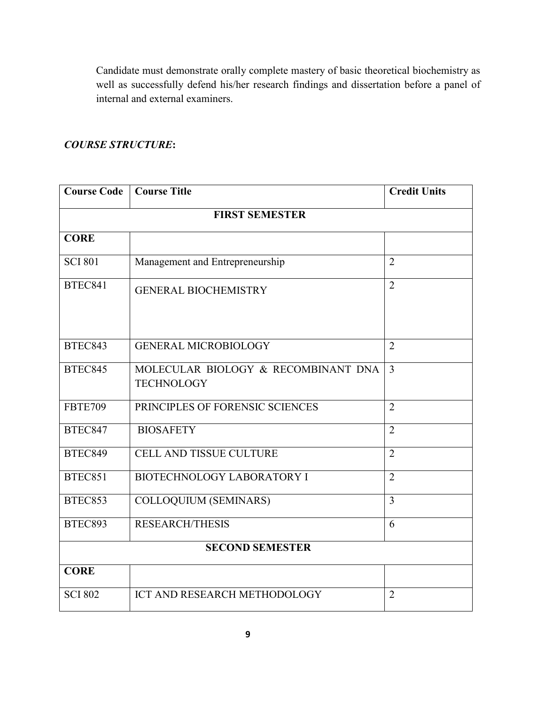Candidate must demonstrate orally complete mastery of basic theoretical biochemistry as well as successfully defend his/her research findings and dissertation before a panel of internal and external examiners.

## *COURSE STRUCTURE***:**

| <b>Course Code</b>     | <b>Course Title</b>                                      | <b>Credit Units</b> |  |
|------------------------|----------------------------------------------------------|---------------------|--|
| <b>FIRST SEMESTER</b>  |                                                          |                     |  |
| <b>CORE</b>            |                                                          |                     |  |
| <b>SCI 801</b>         | Management and Entrepreneurship                          | $\overline{2}$      |  |
| <b>BTEC841</b>         | <b>GENERAL BIOCHEMISTRY</b>                              | $\overline{2}$      |  |
| BTEC843                | <b>GENERAL MICROBIOLOGY</b>                              | $\overline{2}$      |  |
| <b>BTEC845</b>         | MOLECULAR BIOLOGY & RECOMBINANT DNA<br><b>TECHNOLOGY</b> | $\overline{3}$      |  |
| <b>FBTE709</b>         | PRINCIPLES OF FORENSIC SCIENCES                          | $\overline{2}$      |  |
| <b>BTEC847</b>         | <b>BIOSAFETY</b>                                         | $\overline{2}$      |  |
| <b>BTEC849</b>         | <b>CELL AND TISSUE CULTURE</b>                           | $\overline{2}$      |  |
| BTEC851                | <b>BIOTECHNOLOGY LABORATORY I</b>                        | $\overline{2}$      |  |
| <b>BTEC853</b>         | <b>COLLOQUIUM (SEMINARS)</b>                             | $\overline{3}$      |  |
| <b>BTEC893</b>         | <b>RESEARCH/THESIS</b>                                   | 6                   |  |
| <b>SECOND SEMESTER</b> |                                                          |                     |  |
| <b>CORE</b>            |                                                          |                     |  |
| <b>SCI 802</b>         | ICT AND RESEARCH METHODOLOGY                             | $\overline{2}$      |  |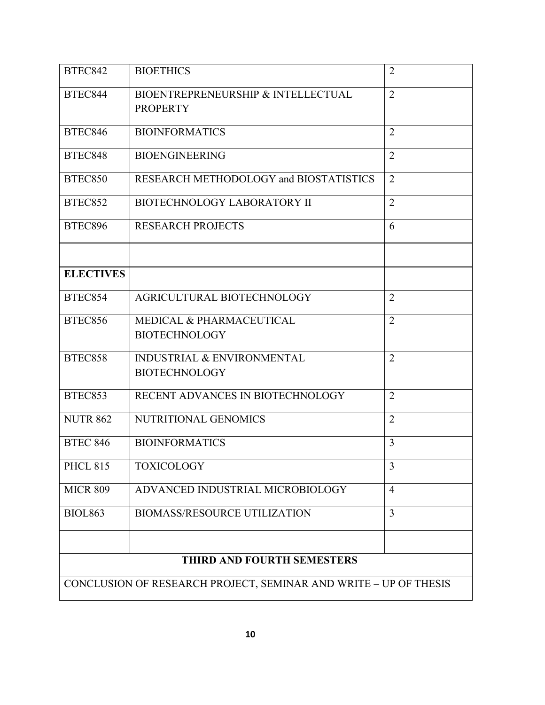| <b>BTEC842</b>                    | <b>BIOETHICS</b>                                                 | $\overline{2}$ |
|-----------------------------------|------------------------------------------------------------------|----------------|
| BTEC844                           | BIOENTREPRENEURSHIP & INTELLECTUAL<br><b>PROPERTY</b>            | $\overline{2}$ |
| <b>BTEC846</b>                    | <b>BIOINFORMATICS</b>                                            | $\overline{2}$ |
| <b>BTEC848</b>                    | <b>BIOENGINEERING</b>                                            | $\overline{2}$ |
| BTEC850                           | RESEARCH METHODOLOGY and BIOSTATISTICS                           | $\overline{2}$ |
| <b>BTEC852</b>                    | <b>BIOTECHNOLOGY LABORATORY II</b>                               | $\overline{2}$ |
| <b>BTEC896</b>                    | <b>RESEARCH PROJECTS</b>                                         | 6              |
|                                   |                                                                  |                |
| <b>ELECTIVES</b>                  |                                                                  |                |
| BTEC854                           | AGRICULTURAL BIOTECHNOLOGY                                       | $\overline{2}$ |
| <b>BTEC856</b>                    | <b>MEDICAL &amp; PHARMACEUTICAL</b><br><b>BIOTECHNOLOGY</b>      | $\overline{2}$ |
| <b>BTEC858</b>                    | <b>INDUSTRIAL &amp; ENVIRONMENTAL</b><br><b>BIOTECHNOLOGY</b>    | $\overline{2}$ |
| BTEC853                           | RECENT ADVANCES IN BIOTECHNOLOGY                                 | $\overline{2}$ |
| <b>NUTR 862</b>                   | NUTRITIONAL GENOMICS                                             | $\overline{2}$ |
| <b>BTEC 846</b>                   | <b>BIOINFORMATICS</b>                                            | 3              |
| <b>PHCL 815</b>                   | <b>TOXICOLOGY</b>                                                | 3              |
| <b>MICR 809</b>                   | ADVANCED INDUSTRIAL MICROBIOLOGY                                 | $\overline{4}$ |
| <b>BIOL863</b>                    | <b>BIOMASS/RESOURCE UTILIZATION</b>                              | $\overline{3}$ |
| <b>THIRD AND FOURTH SEMESTERS</b> |                                                                  |                |
|                                   | CONCLUSION OF RESEARCH PROJECT, SEMINAR AND WRITE - UP OF THESIS |                |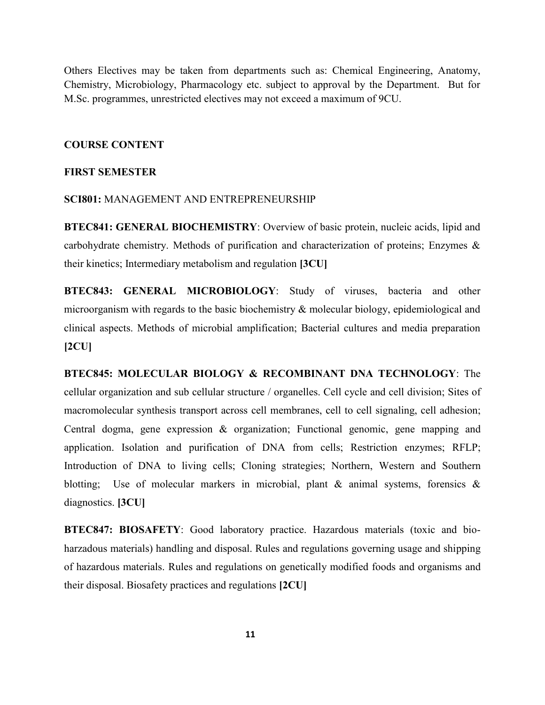M.Sc. programmes, unrestricted electives may not exceed a maximum of 9CU. Chemistry, Microbiology, Pharmacology etc. subject to approval by the Department. But for Others Electives may be taken from departments such as: Chemical Engineering, Anatomy,

#### **COURSE CONTENT**

#### **FIRST SEMESTER**

#### **SCI801:** MANAGEMENT AND ENTREPRENEURSHIP

their kinetics; Intermediary metabolism and regulation **[3CU]** carbohydrate chemistry. Methods of purification and characterization of proteins; Enzymes & **BTEC841: GENERAL BIOCHEMISTRY**: Overview of basic protein, nucleic acids, lipid and

**[2CU]** clinical aspects. Methods of microbial amplification; Bacterial cultures and media preparation microorganism with regards to the basic biochemistry & molecular biology, epidemiological and **BTEC843: GENERAL MICROBIOLOGY**: Study of viruses, bacteria and other

diagnostics. **[3CU]** blotting; Use of molecular markers in microbial, plant & animal systems, forensics & Introduction of DNA to living cells; Cloning strategies; Northern, Western and Southern application. Isolation and purification of DNA from cells; Restriction enzymes; RFLP; Central dogma, gene expression & organization; Functional genomic, gene mapping and macromolecular synthesis transport across cell membranes, cell to cell signaling, cell adhesion; cellular organization and sub cellular structure / organelles. Cell cycle and cell division; Sites of **BTEC845: MOLECULAR BIOLOGY & RECOMBINANT DNA TECHNOLOGY**: The

their disposal. Biosafety practices and regulations **[2CU]** of hazardous materials. Rules and regulations on genetically modified foods and organisms and harzadous materials) handling and disposal. Rules and regulations governing usage and shipping **BTEC847: BIOSAFETY**: Good laboratory practice. Hazardous materials (toxic and bio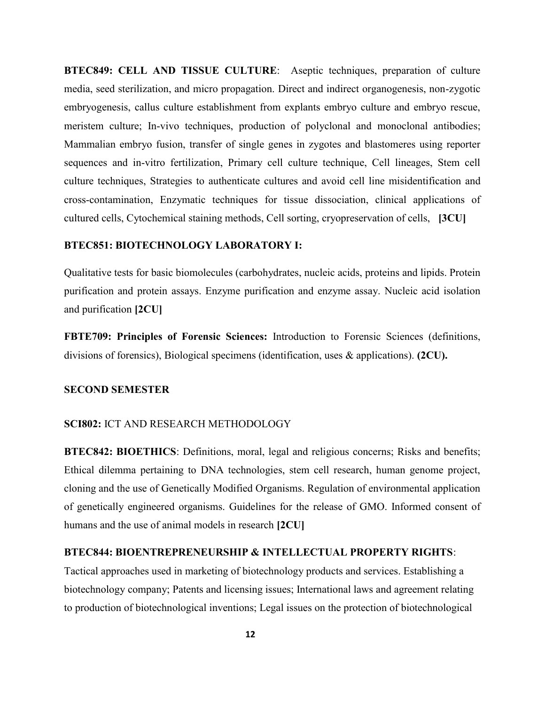cultured cells, Cytochemical staining methods, Cell sorting, cryopreservation of cells, **[3CU]** cross-contamination, Enzymatic techniques for tissue dissociation, clinical applications of culture techniques, Strategies to authenticate cultures and avoid cell line misidentification and sequences and in-vitro fertilization, Primary cell culture technique, Cell lineages, Stem cell Mammalian embryo fusion, transfer of single genes in zygotes and blastomeres using reporter meristem culture; In-vivo techniques, production of polyclonal and monoclonal antibodies; embryogenesis, callus culture establishment from explants embryo culture and embryo rescue, media, seed sterilization, and micro propagation. Direct and indirect organogenesis, non-zygotic **BTEC849: CELL AND TISSUE CULTURE**: Aseptic techniques, preparation of culture

### **BTEC851: BIOTECHNOLOGY LABORATORY I:**

and purification **[2CU]** purification and protein assays. Enzyme purification and enzyme assay. Nucleic acid isolation Qualitative tests for basic biomolecules (carbohydrates, nucleic acids, proteins and lipids. Protein

divisions of forensics), Biological specimens (identification, uses & applications). **(2CU). FBTE709: Principles of Forensic Sciences:** Introduction to Forensic Sciences (definitions,

#### **SECOND SEMESTER**

#### **SCI802:** ICT AND RESEARCH METHODOLOGY

humans and the use of animal models in research **[2CU]** of genetically engineered organisms. Guidelines for the release of GMO. Informed consent of cloning and the use of Genetically Modified Organisms. Regulation of environmental application Ethical dilemma pertaining to DNA technologies, stem cell research, human genome project, **BTEC842: BIOETHICS**: Definitions, moral, legal and religious concerns; Risks and benefits;

#### **BTEC844: BIOENTREPRENEURSHIP & INTELLECTUAL PROPERTY RIGHTS**:

to production of biotechnological inventions; Legal issues on the protection of biotechnological biotechnology company; Patents and licensing issues; International laws and agreement relating Tactical approaches used in marketing of biotechnology products and services. Establishing a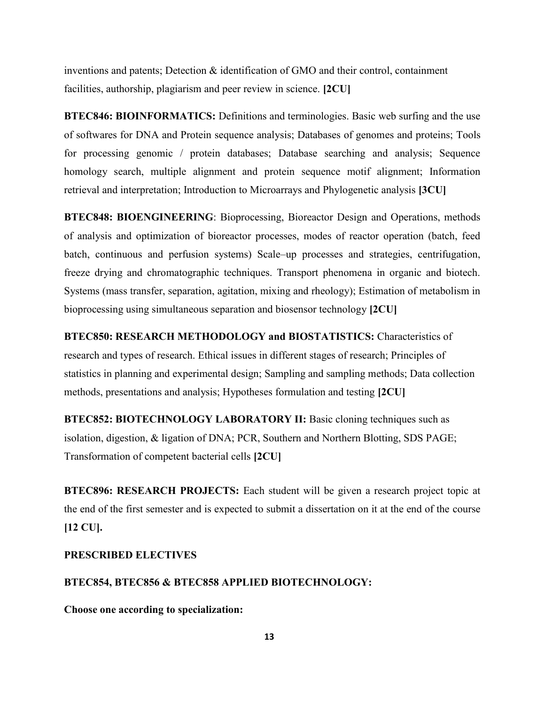facilities, authorship, plagiarism and peer review in science. **[2CU]** inventions and patents; Detection  $\&$  identification of GMO and their control, containment

retrieval and interpretation; Introduction to Microarrays and Phylogenetic analysis **[3CU]** homology search, multiple alignment and protein sequence motif alignment; Information for processing genomic / protein databases; Database searching and analysis; Sequence of softwares for DNA and Protein sequence analysis; Databases of genomes and proteins; Tools **BTEC846: BIOINFORMATICS:** Definitions and terminologies. Basic web surfing and the use

bioprocessing using simultaneous separation and biosensor technology **[2CU]** Systems (mass transfer, separation, agitation, mixing and rheology); Estimation of metabolism in freeze drying and chromatographic techniques. Transport phenomena in organic and biotech. batch, continuous and perfusion systems) Scale-up processes and strategies, centrifugation, of analysis and optimization of bioreactor processes, modes of reactor operation (batch, feed **BTEC848: BIOENGINEERING**: Bioprocessing, Bioreactor Design and Operations, methods

methods, presentations and analysis; Hypotheses formulation and testing **[2CU]** statistics in planning and experimental design; Sampling and sampling methods; Data collection research and types of research. Ethical issues in different stages of research; Principles of **BTEC850: RESEARCH METHODOLOGY and BIOSTATISTICS:** Characteristics of

Transformation of competent bacterial cells **[2CU]** isolation, digestion, & ligation of DNA; PCR, Southern and Northern Blotting, SDS PAGE; **BTEC852: BIOTECHNOLOGY LABORATORY II:** Basic cloning techniques such as

**[12 CU].** the end of the first semester and is expected to submit a dissertation on it at the end of the course **BTEC896: RESEARCH PROJECTS:** Each student will be given a research project topic at

#### **PRESCRIBED ELECTIVES**

#### **BTEC854, BTEC856 & BTEC858 APPLIED BIOTECHNOLOGY:**

**Choose one according to specialization:**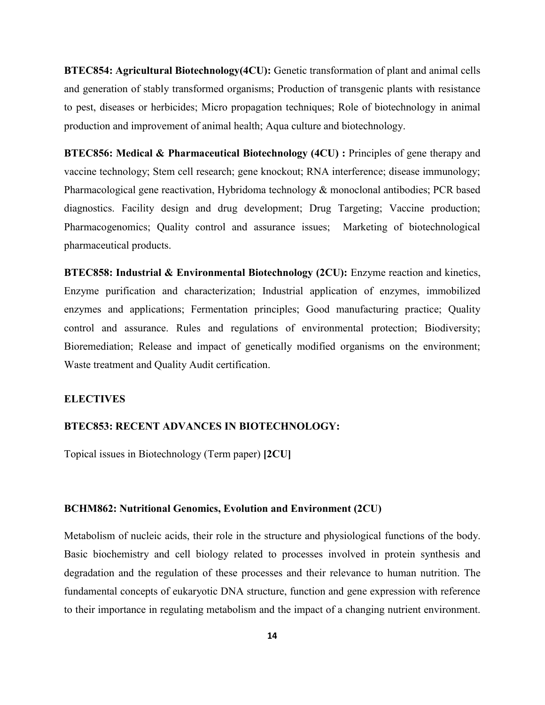**BTEC854: Agricultural Biotechnology(4CU):** Genetic transformation of plant and animal cells and generation of stably transformed organisms; Production of transgenic plants with resistance to pest, diseases or herbicides; Micro propagation techniques; Role of biotechnology in animal production and improvement of animal health; Aqua culture and biotechnology.

**BTEC856: Medical & Pharmaceutical Biotechnology (4CU) :** Principles of gene therapy and vaccine technology; Stem cell research; gene knockout; RNA interference; disease immunology; Pharmacological gene reactivation, Hybridoma technology & monoclonal antibodies; PCR based diagnostics. Facility design and drug development; Drug Targeting; Vaccine production; Pharmacogenomics; Quality control and assurance issues; Marketing of biotechnological pharmaceutical products.

**BTEC858: Industrial & Environmental Biotechnology (2CU):** Enzyme reaction and kinetics, Enzyme purification and characterization; Industrial application of enzymes, immobilized enzymes and applications; Fermentation principles; Good manufacturing practice; Quality control and assurance. Rules and regulations of environmental protection; Biodiversity; Bioremediation; Release and impact of genetically modified organisms on the environment; Waste treatment and Quality Audit certification.

### **ELECTIVES**

### **BTEC853: RECENT ADVANCES IN BIOTECHNOLOGY:**

Topical issues in Biotechnology (Term paper) **[2CU]**

#### **BCHM862: Nutritional Genomics, Evolution and Environment (2CU)**

to their importance in regulating metabolism and the impact of a changing nutrient environment. fundamental concepts of eukaryotic DNA structure, function and gene expression with reference degradation and the regulation of these processes and their relevance to human nutrition. The Basic biochemistry and cell biology related to processes involved in protein synthesis and Metabolism of nucleic acids, their role in the structure and physiological functions of the body.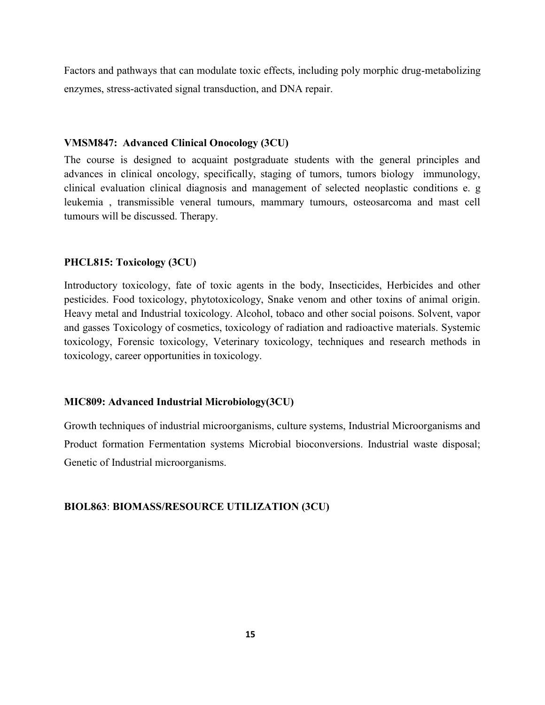Factors and pathways that can modulate toxic effects, including poly morphic drug-metabolizing enzymes, stress-activated signal transduction, and DNA repair.

### **VMSM847: Advanced Clinical Onocology (3CU)**

The course is designed to acquaint postgraduate students with the general principles and advances in clinical oncology, specifically, staging of tumors, tumors biology immunology, clinical evaluation clinical diagnosis and management of selected neoplastic conditions e. g leukemia , transmissible veneral tumours, mammary tumours, osteosarcoma and mast cell tumours will be discussed. Therapy.

## **PHCL815: Toxicology (3CU)**

Introductory toxicology, fate of toxic agents in the body, Insecticides, Herbicides and other pesticides. Food toxicology, phytotoxicology, Snake venom and other toxins of animal origin. Heavy metal and Industrial toxicology. Alcohol, tobaco and other social poisons. Solvent, vapor and gasses Toxicology of cosmetics, toxicology of radiation and radioactive materials. Systemic toxicology, Forensic toxicology, Veterinary toxicology, techniques and research methods in toxicology, career opportunities in toxicology.

## **MIC809: Advanced Industrial Microbiology(3CU)**

Growth techniques of industrial microorganisms, culture systems, Industrial Microorganisms and Product formation Fermentation systems Microbial bioconversions. Industrial waste disposal; Genetic of Industrial microorganisms.

## **BIOL863**: **BIOMASS/RESOURCE UTILIZATION (3CU)**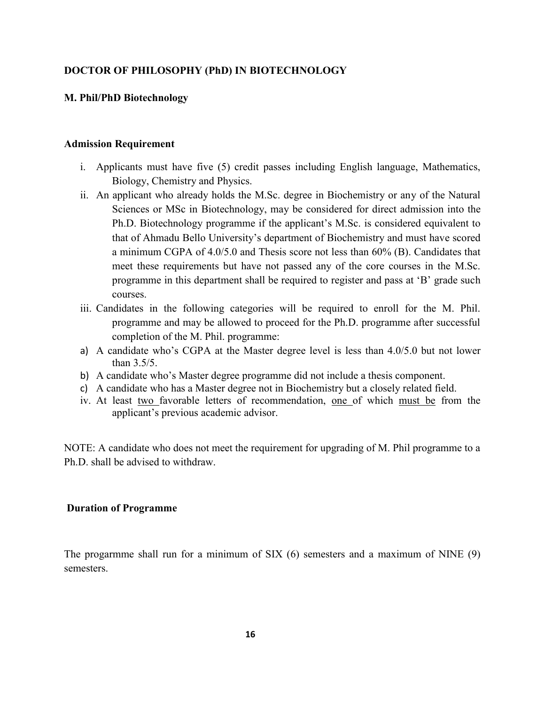## **DOCTOR OF PHILOSOPHY (PhD) IN BIOTECHNOLOGY**

## **M. Phil/PhD Biotechnology**

### **Admission Requirement**

- i. Applicants must have five (5) credit passes including English language, Mathematics, Biology, Chemistry and Physics.
- ii. An applicant who already holds the M.Sc. degree in Biochemistry or any of the Natural Sciences or MSc in Biotechnology, may be considered for direct admission into the Ph.D. Biotechnology programme if the applicant's M.Sc. is considered equivalent to that of Ahmadu Bello University's department of Biochemistry and must have scored a minimum CGPA of 4.0/5.0 and Thesis score not less than 60% (B). Candidates that meet these requirements but have not passed any of the core courses in the M.Sc. programme in this department shall be required to register and pass at 'B' grade such courses.
- iii. Candidates in the following categories will be required to enroll for the M. Phil. programme and may be allowed to proceed for the Ph.D. programme after successful completion of the M. Phil. programme:
- a) A candidate who's CGPA at the Master degree level is less than  $4.0/5.0$  but not lower than 3.5/5.
- b) A candidate who's Master degree programme did not include a thesis component.
- c) A candidate who has a Master degree not in Biochemistry but a closely related field.
- iv. At least two favorable letters of recommendation, one of which must be from the applicant's previous academic advisor.

NOTE: A candidate who does not meet the requirement for upgrading of M. Phil programme to a Ph.D. shall be advised to withdraw.

#### **Duration of Programme**

The progarmme shall run for a minimum of SIX (6) semesters and a maximum of NINE (9) semesters.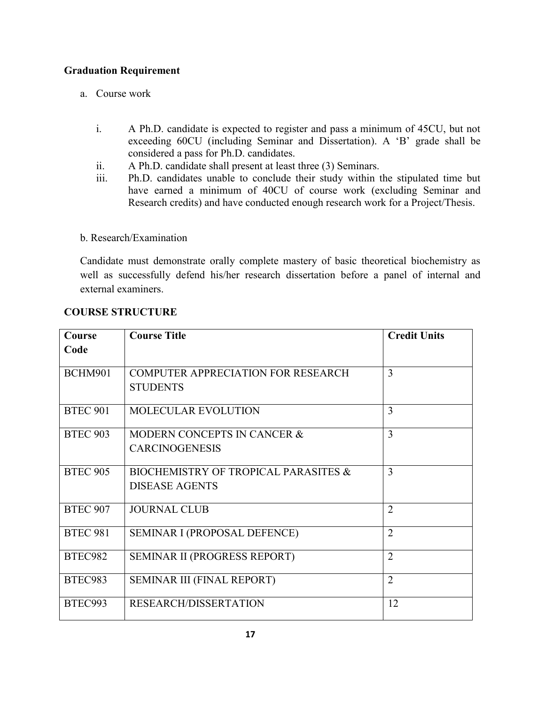## **Graduation Requirement**

- a. Course work
	- i. A Ph.D. candidate is expected to register and pass a minimum of 45CU, but not exceeding 60CU (including Seminar and Dissertation). A 'B' grade shall be considered a pass for Ph.D. candidates.
	- ii. A Ph.D. candidate shall present at least three (3) Seminars.
	- iii. Ph.D. candidates unable to conclude their study within the stipulated time but have earned a minimum of 40CU of course work (excluding Seminar and Research credits) and have conducted enough research work for a Project/Thesis.

## b. Research/Examination

Candidate must demonstrate orally complete mastery of basic theoretical biochemistry as well as successfully defend his/her research dissertation before a panel of internal and external examiners.

| <b>Course</b>   | <b>Course Title</b>                                                      | <b>Credit Units</b> |
|-----------------|--------------------------------------------------------------------------|---------------------|
| Code            |                                                                          |                     |
| BCHM901         | <b>COMPUTER APPRECIATION FOR RESEARCH</b><br><b>STUDENTS</b>             | 3                   |
| <b>BTEC 901</b> | <b>MOLECULAR EVOLUTION</b>                                               | 3                   |
| <b>BTEC 903</b> | MODERN CONCEPTS IN CANCER &<br><b>CARCINOGENESIS</b>                     | 3                   |
| <b>BTEC 905</b> | <b>BIOCHEMISTRY OF TROPICAL PARASITES &amp;</b><br><b>DISEASE AGENTS</b> | 3                   |
| <b>BTEC 907</b> | <b>JOURNAL CLUB</b>                                                      | $\overline{2}$      |
| <b>BTEC 981</b> | SEMINAR I (PROPOSAL DEFENCE)                                             | $\overline{2}$      |
| BTEC982         | SEMINAR II (PROGRESS REPORT)                                             | $\overline{2}$      |
| <b>BTEC983</b>  | SEMINAR III (FINAL REPORT)                                               | $\overline{2}$      |
| BTEC993         | <b>RESEARCH/DISSERTATION</b>                                             | 12                  |

# **COURSE STRUCTURE**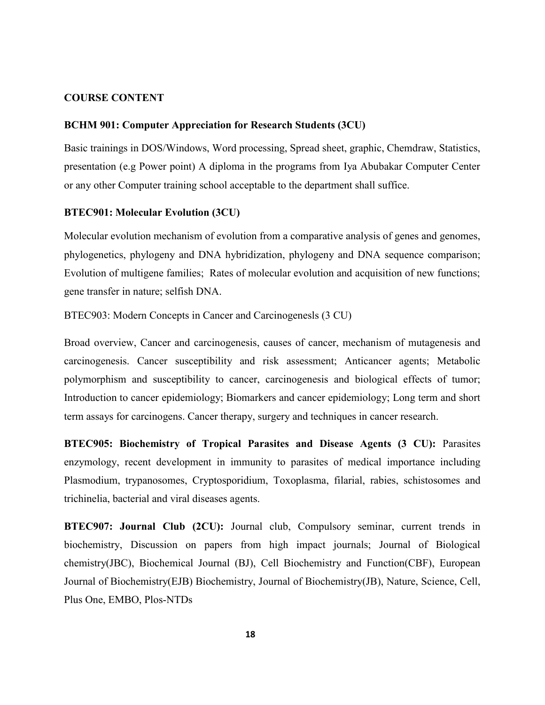### **COURSE CONTENT**

#### **BCHM 901: Computer Appreciation for Research Students (3CU)**

or any other Computer training school acceptable to the department shall suffice. presentation (e.g Power point) A diploma in the programs from Iya Abubakar Computer Center Basic trainings in DOS/Windows, Word processing, Spread sheet, graphic, Chemdraw, Statistics,

#### **BTEC901: Molecular Evolution (3CU)**

gene transfer in nature; selfish DNA. Evolution of multigene families; Rates of molecular evolution and acquisition of new functions; phylogenetics, phylogeny and DNA hybridization, phylogeny and DNA sequence comparison; Molecular evolution mechanism of evolution from a comparative analysis of genes and genomes,

BTEC903: Modern Concepts in Cancer and Carcinogenesls (3 CU)

term assays for carcinogens. Cancer therapy, surgery and techniques in cancer research. Introduction to cancer epidemiology; Biomarkers and cancer epidemiology; Long term and short polymorphism and susceptibility to cancer, carcinogenesis and biological effects of tumor; carcinogenesis. Cancer susceptibility and risk assessment; Anticancer agents; Metabolic Broad overview, Cancer and carcinogenesis, causes of cancer, mechanism of mutagenesis and

trichinelia, bacterial and viral diseases agents. Plasmodium, trypanosomes, Cryptosporidium, Toxoplasma, filarial, rabies, schistosomes and enzymology, recent development in immunity to parasites of medical importance including **BTEC905: Biochemistry of Tropical Parasites and Disease Agents (3 CU):** Parasites

Plus One, EMBO, Plos-NTDs Journal of Biochemistry(EJB) Biochemistry, Journal of Biochemistry(JB), Nature, Science, Cell, chemistry(JBC), Biochemical Journal (BJ), Cell Biochemistry and Function(CBF), European biochemistry, Discussion on papers from high impact journals; Journal of Biological **BTEC907: Journal Club (2CU):** Journal club, Compulsory seminar, current trends in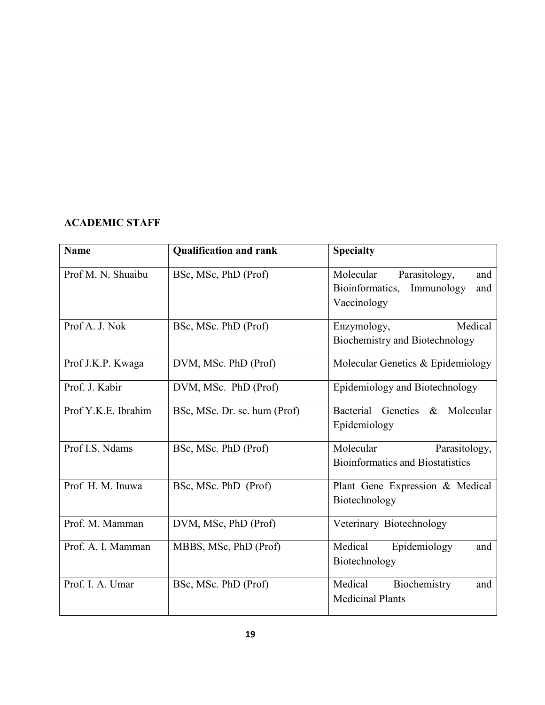# **ACADEMIC STAFF**

| <b>Name</b>         | <b>Qualification and rank</b> | <b>Specialty</b>                                                                         |
|---------------------|-------------------------------|------------------------------------------------------------------------------------------|
| Prof M. N. Shuaibu  | BSc, MSc, PhD (Prof)          | Molecular<br>Parasitology,<br>and<br>Bioinformatics,<br>Immunology<br>and<br>Vaccinology |
| Prof A. J. Nok      | BSc, MSc. PhD (Prof)          | Medical<br>Enzymology,<br>Biochemistry and Biotechnology                                 |
| Prof J.K.P. Kwaga   | DVM, MSc. PhD (Prof)          | Molecular Genetics & Epidemiology                                                        |
| Prof. J. Kabir      | DVM, MSc. PhD (Prof)          | Epidemiology and Biotechnology                                                           |
| Prof Y.K.E. Ibrahim | BSc, MSc. Dr. sc. hum (Prof)  | Bacterial<br>Genetics<br>$\&$<br>Molecular<br>Epidemiology                               |
| Prof I.S. Ndams     | BSc, MSc. PhD (Prof)          | Molecular<br>Parasitology,<br><b>Bioinformatics and Biostatistics</b>                    |
| Prof H. M. Inuwa    | BSc, MSc. PhD (Prof)          | Plant Gene Expression & Medical<br>Biotechnology                                         |
| Prof. M. Mamman     | DVM, MSc, PhD (Prof)          | Veterinary Biotechnology                                                                 |
| Prof. A. I. Mamman  | MBBS, MSc, PhD (Prof)         | Medical<br>Epidemiology<br>and<br>Biotechnology                                          |
| Prof. I. A. Umar    | BSc, MSc. PhD (Prof)          | Medical<br>Biochemistry<br>and<br><b>Medicinal Plants</b>                                |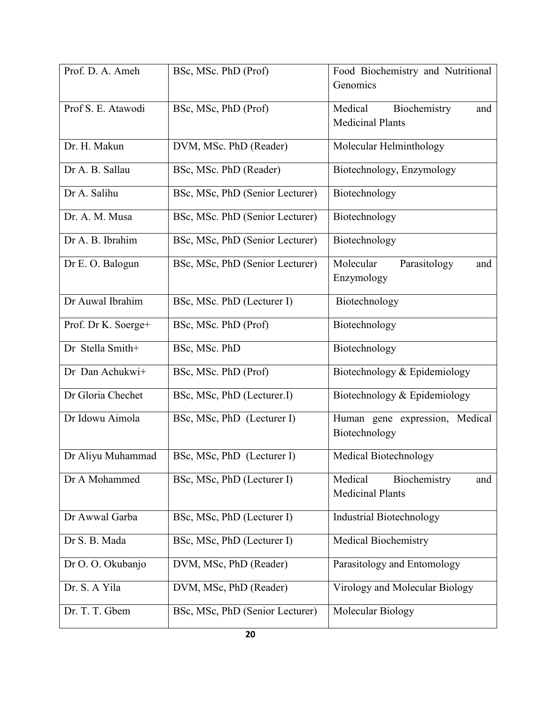| Prof. D. A. Ameh    | BSc, MSc. PhD (Prof)            | Food Biochemistry and Nutritional |
|---------------------|---------------------------------|-----------------------------------|
|                     |                                 | Genomics                          |
| Prof S. E. Atawodi  | BSc, MSc, PhD (Prof)            | Medical<br>Biochemistry<br>and    |
|                     |                                 | <b>Medicinal Plants</b>           |
|                     |                                 |                                   |
| Dr. H. Makun        | DVM, MSc. PhD (Reader)          | Molecular Helminthology           |
|                     |                                 |                                   |
| Dr A. B. Sallau     | BSc, MSc. PhD (Reader)          | Biotechnology, Enzymology         |
| Dr A. Salihu        | BSc, MSc, PhD (Senior Lecturer) | Biotechnology                     |
|                     |                                 |                                   |
| Dr. A. M. Musa      | BSc, MSc. PhD (Senior Lecturer) | Biotechnology                     |
| Dr A. B. Ibrahim    | BSc, MSc, PhD (Senior Lecturer) | Biotechnology                     |
|                     |                                 |                                   |
| Dr E. O. Balogun    | BSc, MSc, PhD (Senior Lecturer) | Molecular<br>Parasitology<br>and  |
|                     |                                 | Enzymology                        |
| Dr Auwal Ibrahim    |                                 |                                   |
|                     | BSc, MSc. PhD (Lecturer I)      | Biotechnology                     |
| Prof. Dr K. Soerge+ | BSc, MSc. PhD (Prof)            | Biotechnology                     |
|                     |                                 |                                   |
| Dr Stella Smith+    | BSc, MSc. PhD                   | Biotechnology                     |
| Dr Dan Achukwi+     | BSc, MSc. PhD (Prof)            | Biotechnology & Epidemiology      |
|                     |                                 |                                   |
| Dr Gloria Chechet   | BSc, MSc, PhD (Lecturer.I)      | Biotechnology & Epidemiology      |
| Dr Idowu Aimola     |                                 |                                   |
|                     | BSc, MSc, PhD (Lecturer I)      | Human gene expression, Medical    |
|                     |                                 | Biotechnology                     |
| Dr Aliyu Muhammad   | BSc, MSc, PhD (Lecturer I)      | Medical Biotechnology             |
|                     |                                 |                                   |
| Dr A Mohammed       | BSc, MSc, PhD (Lecturer I)      | Medical<br>Biochemistry<br>and    |
|                     |                                 | <b>Medicinal Plants</b>           |
| Dr Awwal Garba      | BSc, MSc, PhD (Lecturer I)      | <b>Industrial Biotechnology</b>   |
|                     |                                 |                                   |
| Dr S. B. Mada       | BSc, MSc, PhD (Lecturer I)      | Medical Biochemistry              |
| Dr O. O. Okubanjo   | DVM, MSc, PhD (Reader)          | Parasitology and Entomology       |
|                     |                                 |                                   |
| Dr. S. A Yila       | DVM, MSc, PhD (Reader)          | Virology and Molecular Biology    |
|                     |                                 |                                   |
| Dr. T. T. Gbem      | BSc, MSc, PhD (Senior Lecturer) | Molecular Biology                 |